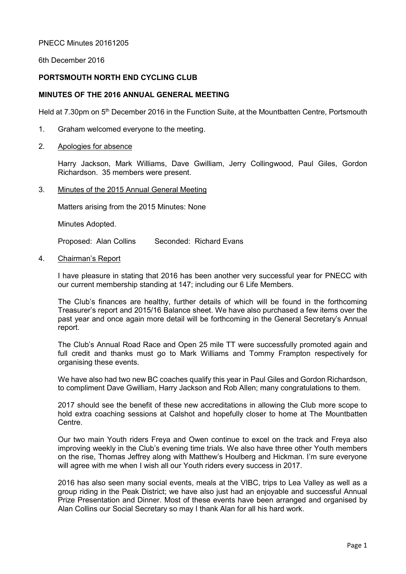## PNECC Minutes 20161205

6th December 2016

## PORTSMOUTH NORTH END CYCLING CLUB

# MINUTES OF THE 2016 ANNUAL GENERAL MEETING

Held at 7.30pm on 5<sup>th</sup> December 2016 in the Function Suite, at the Mountbatten Centre, Portsmouth

- 1. Graham welcomed everyone to the meeting.
- 2. Apologies for absence

 Harry Jackson, Mark Williams, Dave Gwilliam, Jerry Collingwood, Paul Giles, Gordon Richardson. 35 members were present.

3. Minutes of the 2015 Annual General Meeting

Matters arising from the 2015 Minutes: None

Minutes Adopted.

Proposed: Alan Collins Seconded: Richard Evans

4. Chairman's Report

I have pleasure in stating that 2016 has been another very successful year for PNECC with our current membership standing at 147; including our 6 Life Members.

The Club's finances are healthy, further details of which will be found in the forthcoming Treasurer's report and 2015/16 Balance sheet. We have also purchased a few items over the past year and once again more detail will be forthcoming in the General Secretary's Annual report.

The Club's Annual Road Race and Open 25 mile TT were successfully promoted again and full credit and thanks must go to Mark Williams and Tommy Frampton respectively for organising these events.

We have also had two new BC coaches qualify this year in Paul Giles and Gordon Richardson, to compliment Dave Gwilliam, Harry Jackson and Rob Allen; many congratulations to them.

2017 should see the benefit of these new accreditations in allowing the Club more scope to hold extra coaching sessions at Calshot and hopefully closer to home at The Mountbatten Centre.

Our two main Youth riders Freya and Owen continue to excel on the track and Freya also improving weekly in the Club's evening time trials. We also have three other Youth members on the rise, Thomas Jeffrey along with Matthew's Houlberg and Hickman. I'm sure everyone will agree with me when I wish all our Youth riders every success in 2017.

2016 has also seen many social events, meals at the VIBC, trips to Lea Valley as well as a group riding in the Peak District; we have also just had an enjoyable and successful Annual Prize Presentation and Dinner. Most of these events have been arranged and organised by Alan Collins our Social Secretary so may I thank Alan for all his hard work.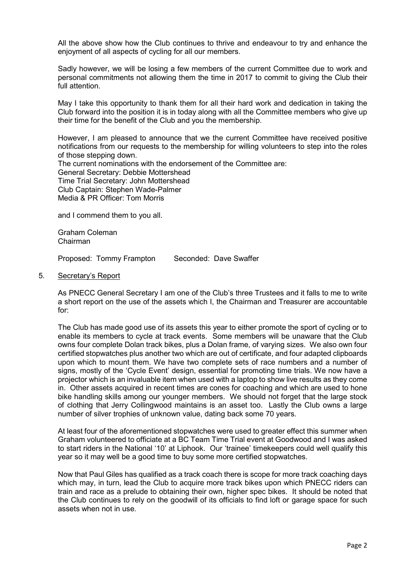All the above show how the Club continues to thrive and endeavour to try and enhance the enjoyment of all aspects of cycling for all our members.

Sadly however, we will be losing a few members of the current Committee due to work and personal commitments not allowing them the time in 2017 to commit to giving the Club their full attention.

May I take this opportunity to thank them for all their hard work and dedication in taking the Club forward into the position it is in today along with all the Committee members who give up their time for the benefit of the Club and you the membership.

However, I am pleased to announce that we the current Committee have received positive notifications from our requests to the membership for willing volunteers to step into the roles of those stepping down.

The current nominations with the endorsement of the Committee are: General Secretary: Debbie Mottershead Time Trial Secretary: John Mottershead Club Captain: Stephen Wade-Palmer Media & PR Officer: Tom Morris

and I commend them to you all.

Graham Coleman Chairman

Proposed: Tommy Frampton Seconded: Dave Swaffer

5. Secretary's Report

As PNECC General Secretary I am one of the Club's three Trustees and it falls to me to write a short report on the use of the assets which I, the Chairman and Treasurer are accountable for:

The Club has made good use of its assets this year to either promote the sport of cycling or to enable its members to cycle at track events. Some members will be unaware that the Club owns four complete Dolan track bikes, plus a Dolan frame, of varying sizes. We also own four certified stopwatches plus another two which are out of certificate, and four adapted clipboards upon which to mount them. We have two complete sets of race numbers and a number of signs, mostly of the 'Cycle Event' design, essential for promoting time trials. We now have a projector which is an invaluable item when used with a laptop to show live results as they come in. Other assets acquired in recent times are cones for coaching and which are used to hone bike handling skills among our younger members. We should not forget that the large stock of clothing that Jerry Collingwood maintains is an asset too. Lastly the Club owns a large number of silver trophies of unknown value, dating back some 70 years.

At least four of the aforementioned stopwatches were used to greater effect this summer when Graham volunteered to officiate at a BC Team Time Trial event at Goodwood and I was asked to start riders in the National '10' at Liphook. Our 'trainee' timekeepers could well qualify this year so it may well be a good time to buy some more certified stopwatches.

Now that Paul Giles has qualified as a track coach there is scope for more track coaching days which may, in turn, lead the Club to acquire more track bikes upon which PNECC riders can train and race as a prelude to obtaining their own, higher spec bikes. It should be noted that the Club continues to rely on the goodwill of its officials to find loft or garage space for such assets when not in use.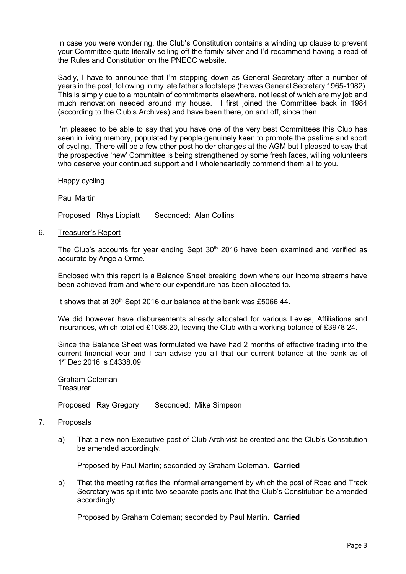In case you were wondering, the Club's Constitution contains a winding up clause to prevent your Committee quite literally selling off the family silver and I'd recommend having a read of the Rules and Constitution on the PNECC website.

Sadly, I have to announce that I'm stepping down as General Secretary after a number of years in the post, following in my late father's footsteps (he was General Secretary 1965-1982). This is simply due to a mountain of commitments elsewhere, not least of which are my job and much renovation needed around my house. I first joined the Committee back in 1984 (according to the Club's Archives) and have been there, on and off, since then.

I'm pleased to be able to say that you have one of the very best Committees this Club has seen in living memory, populated by people genuinely keen to promote the pastime and sport of cycling. There will be a few other post holder changes at the AGM but I pleased to say that the prospective 'new' Committee is being strengthened by some fresh faces, willing volunteers who deserve your continued support and I wholeheartedly commend them all to you.

Happy cycling

Paul Martin

Proposed: Rhys Lippiatt Seconded: Alan Collins

6. Treasurer's Report

The Club's accounts for year ending Sept  $30<sup>th</sup>$  2016 have been examined and verified as accurate by Angela Orme.

Enclosed with this report is a Balance Sheet breaking down where our income streams have been achieved from and where our expenditure has been allocated to.

It shows that at  $30<sup>th</sup>$  Sept 2016 our balance at the bank was £5066.44.

We did however have disbursements already allocated for various Levies, Affiliations and Insurances, which totalled £1088.20, leaving the Club with a working balance of £3978.24.

Since the Balance Sheet was formulated we have had 2 months of effective trading into the current financial year and I can advise you all that our current balance at the bank as of 1 st Dec 2016 is £4338.09

Graham Coleman **Treasurer** 

Proposed: Ray Gregory Seconded: Mike Simpson

- 7. Proposals
	- a) That a new non-Executive post of Club Archivist be created and the Club's Constitution be amended accordingly.

Proposed by Paul Martin; seconded by Graham Coleman. Carried

b) That the meeting ratifies the informal arrangement by which the post of Road and Track Secretary was split into two separate posts and that the Club's Constitution be amended accordingly.

Proposed by Graham Coleman; seconded by Paul Martin. Carried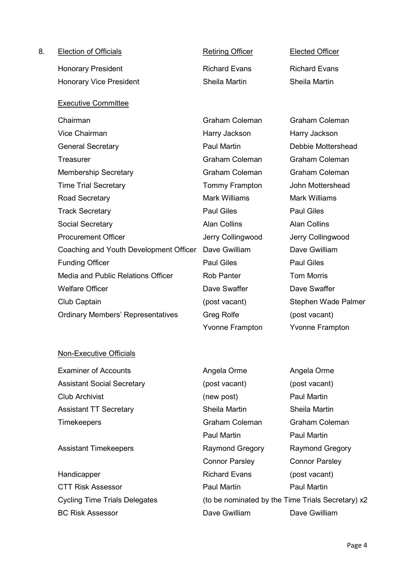| 8. | <b>Election of Officials</b>             | <b>Retiring Officer</b> | <b>Elected Officer</b> |
|----|------------------------------------------|-------------------------|------------------------|
|    | <b>Honorary President</b>                | <b>Richard Evans</b>    | <b>Richard Evans</b>   |
|    | <b>Honorary Vice President</b>           | Sheila Martin           | Sheila Martin          |
|    | <b>Executive Committee</b>               |                         |                        |
|    | Chairman                                 | <b>Graham Coleman</b>   | <b>Graham Coleman</b>  |
|    | <b>Vice Chairman</b>                     | Harry Jackson           | Harry Jackson          |
|    | <b>General Secretary</b>                 | <b>Paul Martin</b>      | Debbie Mottershead     |
|    | <b>Treasurer</b>                         | <b>Graham Coleman</b>   | <b>Graham Coleman</b>  |
|    | <b>Membership Secretary</b>              | <b>Graham Coleman</b>   | <b>Graham Coleman</b>  |
|    | <b>Time Trial Secretary</b>              | <b>Tommy Frampton</b>   | John Mottershead       |
|    | Road Secretary                           | <b>Mark Williams</b>    | <b>Mark Williams</b>   |
|    | <b>Track Secretary</b>                   | <b>Paul Giles</b>       | <b>Paul Giles</b>      |
|    | Social Secretary                         | <b>Alan Collins</b>     | <b>Alan Collins</b>    |
|    | <b>Procurement Officer</b>               | Jerry Collingwood       | Jerry Collingwood      |
|    | Coaching and Youth Development Officer   | Dave Gwilliam           | Dave Gwilliam          |
|    | <b>Funding Officer</b>                   | <b>Paul Giles</b>       | <b>Paul Giles</b>      |
|    | Media and Public Relations Officer       | <b>Rob Panter</b>       | <b>Tom Morris</b>      |
|    | <b>Welfare Officer</b>                   | Dave Swaffer            | Dave Swaffer           |
|    | Club Captain                             | (post vacant)           | Stephen Wade Palmer    |
|    | <b>Ordinary Members' Representatives</b> | <b>Greg Rolfe</b>       | (post vacant)          |
|    |                                          | <b>Yvonne Frampton</b>  | <b>Yvonne Frampton</b> |

# Non-Executive Officials

| <b>Examiner of Accounts</b>       |
|-----------------------------------|
| <b>Assistant Social Secretary</b> |
| <b>Club Archivist</b>             |
| <b>Assistant TT Secretary</b>     |
| <b>Timekeepers</b>                |

Angela Orme Angela Orme (post vacant) (post vacant) (new post) Paul Martin Sheila Martin Sheila Martin Graham Coleman Graham Coleman Paul Martin Paul Martin Assistant Timekeepers **Raymond Gregory** Raymond Gregory Connor Parsley Connor Parsley Handicapper **Richard Evans** (post vacant) CTT Risk Assessor **Paul Martin Paul Martin** Paul Martin Cycling Time Trials Delegates (to be nominated by the Time Trials Secretary) x2 BC Risk Assessor **Dave Gwilliam** Dave Gwilliam Dave Gwilliam